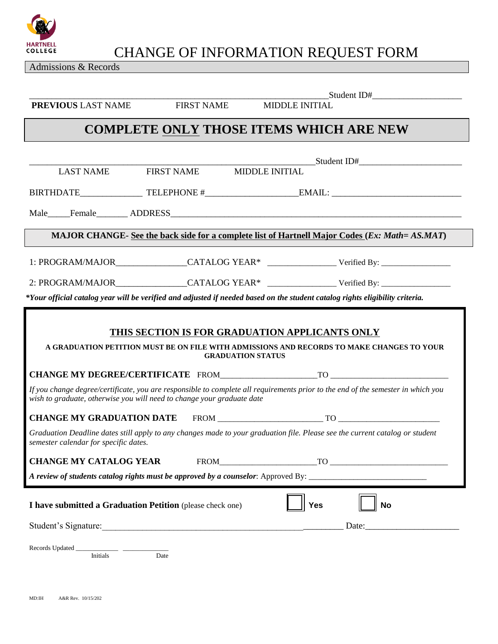

# CHANGE OF INFORMATION REQUEST FORM

Admissions & Records

| PREVIOUS LAST NAME                                                                                                                                                                                         | <b>FIRST NAME</b> | <b>MIDDLE INITIAL</b> | Student ID#                                                                                          |  |  |  |
|------------------------------------------------------------------------------------------------------------------------------------------------------------------------------------------------------------|-------------------|-----------------------|------------------------------------------------------------------------------------------------------|--|--|--|
| <b>COMPLETE ONLY THOSE ITEMS WHICH ARE NEW</b>                                                                                                                                                             |                   |                       |                                                                                                      |  |  |  |
|                                                                                                                                                                                                            |                   |                       |                                                                                                      |  |  |  |
| <b>LAST NAME</b>                                                                                                                                                                                           | <b>FIRST NAME</b> | <b>MIDDLE INITIAL</b> |                                                                                                      |  |  |  |
|                                                                                                                                                                                                            |                   |                       |                                                                                                      |  |  |  |
|                                                                                                                                                                                                            |                   |                       |                                                                                                      |  |  |  |
|                                                                                                                                                                                                            |                   |                       | MAJOR CHANGE- See the back side for a complete list of Hartnell Major Codes (Ex: Math= AS.MAT)       |  |  |  |
|                                                                                                                                                                                                            |                   |                       | 1: PROGRAM/MAJOR_________________CATALOG YEAR* __________________Verified By: ______________________ |  |  |  |
|                                                                                                                                                                                                            |                   |                       | 2: PROGRAM/MAJOR________________CATALOG YEAR* __________________Verified By: _______________________ |  |  |  |
| *Your official catalog year will be verified and adjusted if needed based on the student catalog rights eligibility criteria.                                                                              |                   |                       |                                                                                                      |  |  |  |
| THIS SECTION IS FOR GRADUATION APPLICANTS ONLY<br>A GRADUATION PETITION MUST BE ON FILE WITH ADMISSIONS AND RECORDS TO MAKE CHANGES TO YOUR<br><b>GRADUATION STATUS</b>                                    |                   |                       |                                                                                                      |  |  |  |
|                                                                                                                                                                                                            |                   |                       |                                                                                                      |  |  |  |
| If you change degree/certificate, you are responsible to complete all requirements prior to the end of the semester in which you<br>wish to graduate, otherwise you will need to change your graduate date |                   |                       |                                                                                                      |  |  |  |
|                                                                                                                                                                                                            |                   |                       |                                                                                                      |  |  |  |
| Graduation Deadline dates still apply to any changes made to your graduation file. Please see the current catalog or student<br>semester calendar for specific dates.                                      |                   |                       |                                                                                                      |  |  |  |
| <b>CHANGE MY CATALOG YEAR</b>                                                                                                                                                                              |                   |                       | $T$ O $T$ O $T$                                                                                      |  |  |  |
| A review of students catalog rights must be approved by a counselor: Approved By: ____________________________                                                                                             |                   |                       |                                                                                                      |  |  |  |
| I have submitted a Graduation Petition (please check one)                                                                                                                                                  |                   | Yes                   | <b>No</b>                                                                                            |  |  |  |
| Student's Signature:                                                                                                                                                                                       |                   |                       | Date:                                                                                                |  |  |  |
| Initials                                                                                                                                                                                                   | Date              |                       |                                                                                                      |  |  |  |